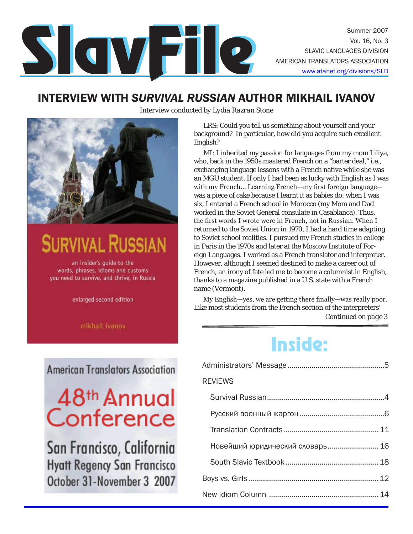

### INTERVIEW WITH *SURVIVAL RUSSIAN* AUTHOR MIKHAIL IVANOV





# **JRVIVAL RUSSIAN**

an insider's guide to the words, phrases, idioms and customs you need to survive, and thrive, in Russia

enlarged second edition

mikhail ivanov

**American Translators Association** 

# 48<sup>th</sup> Annual Conference

San Francisco, California **Hyatt Regency San Francisco** October 31-November 3 2007

LRS: Could you tell us something about yourself and your background? In particular, how did you acquire such excellent English?

MI: I inherited my passion for languages from my mom Liliya, who, back in the 1950s mastered French on a "barter deal," i.e., exchanging language lessons with a French native while she was an MGU student. If only I had been as lucky with English as I was with my French… Learning French—my first foreign language was a piece of cake because I learnt it as babies do: when I was six, I entered a French school in Morocco (my Mom and Dad worked in the Soviet General consulate in Casablanca). Thus, the first words I wrote were in French, not in Russian. When I returned to the Soviet Union in 1970, I had a hard time adapting to Soviet school realities. I pursued my French studies in college in Paris in the 1970s and later at the Moscow Institute of Foreign Languages. I worked as a French translator and interpreter. However, although I seemed destined to make a career out of French, an irony of fate led me to become a columnist in English, thanks to a magazine published in a U.S. state with a French name (Vermont).

*Continued on page 3* My English—yes, we are getting there finally—was really poor. Like most students from the French section of the interpreters'

# Inside:

| <b>REVIEWS</b>                  |  |
|---------------------------------|--|
|                                 |  |
|                                 |  |
|                                 |  |
| Новейший юридический словарь 16 |  |
|                                 |  |
|                                 |  |
|                                 |  |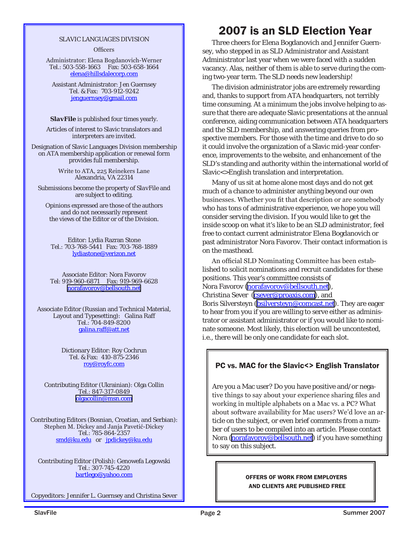#### SLAVIC LANGUAGES DIVISION

**Officers** 

Administrator: Elena Bogdanovich-Werner Tel.: 503-558-1663 Fax: 503-658-1664 elena@hillsdalecorp.com

Assistant Administrator: Jen Guernsey Tel. & Fax: 703-912-9242 jenguernsey@gmail.com

*SlavFile* is published four times yearly.

Articles of interest to Slavic translators and interpreters are invited.

Designation of Slavic Languages Division membership on ATA membership application or renewal form provides full membership.

> Write to ATA, 225 Reinekers Lane Alexandria, VA 22314

Submissions become the property of *SlavFile* and are subject to editing.

Opinions expressed are those of the authors and do not necessarily represent the views of the Editor or of the Division.

Editor: Lydia Razran Stone Tel.: 703-768-5441 Fax: 703-768-1889 lydiastone@verizon.net

Associate Editor: Nora Favorov Tel: 919-960-6871 Fax: 919-969-6628 [norafavorov@bellsouth.net]( mailto:norafavorov@bellsouth.net )

Associate Editor (Russian and Technical Material, Layout and Typesetting): Galina Raff Tel.: 704-849-8200 galina.raff@att.net

> Dictionary Editor: Roy Cochrun Tel. & Fax: 410-875-2346 roy@royfc.com

Contributing Editor (Ukrainian): Olga Collin Tel.: 847-317-0849 [olgacollin@msn.com]( mailto:olgacollin@msn.com )

Contributing Editors (Bosnian, Croatian, and Serbian): Stephen M. Dickey and Janja Pavetić-Dickey Tel.: 785-864-2357 smd@ku.edu or jpdickey@ku.edu

Contributing Editor (Polish): Genowefa Legowski Tel.: 307-745-4220 bartlego@yahoo.com

Copyeditors: Jennifer L. Guernsey and Christina Sever

### 2007 is an SLD Election Year

Three cheers for Elena Bogdanovich and Jennifer Guernsey, who stepped in as SLD Administrator and Assistant Administrator last year when we were faced with a sudden vacancy. Alas, neither of them is able to serve during the coming two-year term. The SLD needs new leadership!

The division administrator jobs are extremely rewarding and, thanks to support from ATA headquarters, not terribly time consuming. At a minimum the jobs involve helping to assure that there are adequate Slavic presentations at the annual conference, aiding communication between ATA headquarters and the SLD membership, and answering queries from prospective members. For those with the time and drive to do so it could involve the organization of a Slavic mid-year conference, improvements to the website, and enhancement of the SLD's standing and authority within the international world of Slavic<>English translation and interpretation.

Many of us sit at home alone most days and do not get much of a chance to administer anything beyond our own businesses. Whether you fit that description or are somebody who has tons of administrative experience, we hope you will consider serving the division. If you would like to get the inside scoop on what it's like to be an SLD administrator, feel free to contact current administrator Elena Bogdanovich or past administrator Nora Favorov. Their contact information is on the masthead.

An official SLD Nominating Committee has been established to solicit nominations and recruit candidates for these positions. This year's committee consists of Nora Favorov ([norafavorov@bellsouth.net](mailto:chair�norafavorov@bellsouth.net)), Christina Sever [\(csever@proaxis.com](file:///C:/Documents%20and%20Settings/Galina%20Raff/My%20Documents/SlavFile/Summer%20SF/csever@proaxis.com)), and Boris Silversteyn ([bsilversteyn@comcast.net\)](mailto:bsilversteyn@comcast.net). They are eager to hear from you if you are willing to serve either as administrator or assistant administrator or if you would like to nominate someone. Most likely, this election will be uncontested, i.e., there will be only one candidate for each slot.

### PC vs. MAC for the Slavic<> English Translator

Are you a Mac user? Do you have positive and/or negative things to say about your experience sharing files and working in multiple alphabets on a Mac vs. a PC? What about software availability for Mac users? We'd love an article on the subject, or even brief comments from a number of users to be compiled into an article. Please contact Nora [\(norafavorov@bellsouth.net\)](mailto:norafavorov@bellsouth.net) if you have something to say on this subject.

### OFFERS OF WORK FROM EMPLOYERS AND CLIENTS ARE PUBLISHED FREE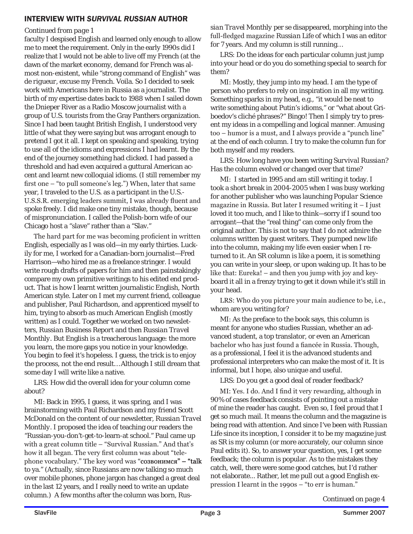### INTERVIEW WITH *SURVIVAL RUSSIAN* AUTHOR

### *Continued from page 1*

faculty I despised English and learned only enough to allow me to meet the requirement. Only in the early 1990s did I realize that I would not be able to live off my French (at the dawn of the market economy, demand for French was almost non-existent, while "strong command of English" was *de rigueur*, excuse my French. Voila. So I decided to seek work with Americans here in Russia as a journalist. The birth of my expertise dates back to 1988 when I sailed down the Dnieper River as a Radio Moscow journalist with a group of U.S. tourists from the Gray Panthers organization. Since I had been taught British English, I understood very little of what they were saying but was arrogant enough to pretend I got it all. I kept on speaking and speaking, trying to use all of the idioms and expressions I had learnt. By the end of the journey something had clicked. I had passed a threshold and had even acquired a guttural American accent and learnt new colloquial idioms. (I still remember my first one – "to pull someone's leg.") When, later that same year, I traveled to the U.S. as a participant in the U.S.- U.S.S.R. emerging leaders summit, I was already fluent and spoke freely. I did make one tiny mistake, though, because of mispronunciation. I called the Polish-born wife of our Chicago host a "slave" rather than a "Slav."

The hard part for me was becoming proficient in written English, especially as I was old—in my early thirties. Luckily for me, I worked for a Canadian-born journalist—Fred Harrison—who hired me as a freelance stringer. I would write rough drafts of papers for him and then painstakingly compare my own primitive writings to his edited end product. That is how I learnt written journalistic English, North American style. Later on I met my current friend, colleague and publisher, Paul Richardson, and apprenticed myself to him, trying to absorb as much American English (mostly written) as I could. Together we worked on two newsletters, *Russian Business Report* and then *Russian Travel Monthly*. But English is a treacherous language: the more you learn, the more gaps you notice in your knowledge. You begin to feel it's hopeless. I guess, the trick is to enjoy the process, not the end result… Although I still dream that some day I will write like a native.

LRS: How did the overall idea for your column come about?

MI: Back in 1995, I guess, it was spring, and I was brainstorming with Paul Richardson and my friend Scott McDonald on the content of our newsletter, *Russian Travel Monthly.* I proposed the idea of teaching our readers the "Russian-you-don't-get-to-learn-at school." Paul came up with a great column title – "Survival Russian." And that's how it all began. The very first column was about "telephone vocabulary." The key word was " $cos$ вонимся" – "talk to ya." (Actually, since Russians are now talking so much over mobile phones, phone jargon has changed a great deal in the last 12 years, and I really need to write an update column.) A few months after the column was born*, Rus-* *sian Travel Monthly* per se disappeared, morphing into the full-fledged magazine *Russian Life* of which I was an editor for 7 years. And my column is still running…

LRS: Do the ideas for each particular column just jump into your head or do you do something special to search for them?

MI: Mostly, they jump into my head. I am the type of person who prefers to rely on inspiration in all my writing. Something sparks in my head, e.g., "it would be neat to write something about Putin's idioms," or "what about Griboedov's cliché phrases?" Bingo! Then I simply try to present my ideas in a compelling and logical manner. Amusing too – humor is a must, and I always provide a "punch line" at the end of each column. I try to make the column fun for both myself and my readers.

LRS: How long have you been writing *Survival Russian*? Has the column evolved or changed over that time?

MI: I started in 1995 and am still writing it today. I took a short break in 2004-2005 when I was busy working for another publisher who was launching *Popular Science* magazine in Russia. But later I resumed writing it – I just loved it too much, and I like to think—sorry if I sound too arrogant—that the "real thing" can come only from the original author. This is not to say that I do not admire the columns written by guest writers. They pumped new life into the column, making my life even easier when I returned to it. An SR column is like a poem, it is something you can write in your sleep, or upon waking up. It has to be like that: Eureka! – and then you jump with joy and keyboard it all in a frenzy trying to get it down while it's still in your head.

LRS: Who do you picture your main audience to be, i.e., whom are you writing for?

MI: As the preface to the book says, this column is meant for anyone who studies Russian, whether an advanced student, a top translator, or even an American bachelor who has just found a fiancée in Russia. Though, as a professional, I feel it is the advanced students and professional interpreters who can make the most of it. It is informal, but I hope, also unique and useful.

LRS: Do you get a good deal of reader feedback?

MI: Yes. I do. And I find it very rewarding, although in 90% of cases feedback consists of pointing out a mistake of mine the reader has caught. Even so, I feel proud that I get so much mail. It means the column and the magazine is being read with attention. And since I've been with *Russian Life* since its inception, I consider it to be my magazine just as SR is my column (or more accurately, our column since Paul edits it). So, to answer your question, yes, I get some feedback; the column is popular. As to the mistakes they catch, well, there were some good catches, but I'd rather not elaborate... Rather, let me pull out a good English expression I learnt in the 1990s – "to err is human."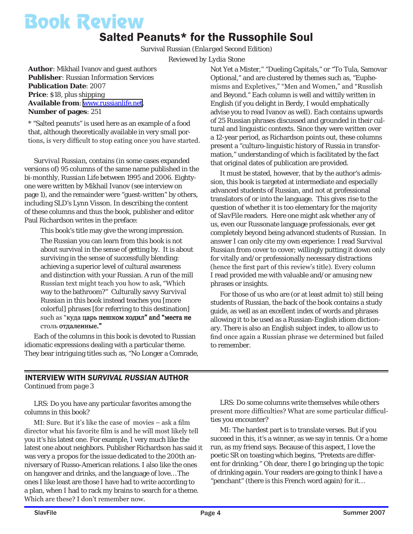# Book Review

### Salted Peanuts\* for the Russophile Soul

Survival Russian *(Enlarged Second Edition)*

*Reviewed by Lydia Stone*

**Author**: Mikhail Ivanov and guest authors **Publisher**: Russian Information Services **Publication Date**: 2007 **Price**: \$18, plus shipping **Available from**: [www.russianlife.net](http://www.russianlife.net). **Number of pages**: 251

\* "Salted peanuts" is used here as an example of a food that, although theoretically available in very small portions, is very difficult to stop eating once you have started.

*Survival Russian,* contains (in some cases expanded versions of) 95 columns of the same name published in the bi-monthly, *Russian Life* between 1995 and 2006. Eightyone were written by Mikhail Ivanov (see interview on page 1), and the remainder were "guest-written" by others, including SLD's Lynn Visson. In describing the content of these columns and thus the book, publisher and editor Paul Richardson writes in the preface:

This book's title may give the wrong impression.

The Russian you can learn from this book is not about survival in the sense of getting by. It is about surviving in the sense of successfully blending: achieving a superior level of cultural awareness and distinction with your Russian. A run of the mill Russian text might teach you how to ask, "Which way to the bathroom?" Culturally savvy *Survival Russian* in this book instead teaches you [more colorful] phrases [for referring to this destination] such as "куда царь пешком ходил" and "места не столь отлаленные."

Each of the columns in this book is devoted to Russian idiomatic expressions dealing with a particular theme. They bear intriguing titles such as, "No Longer a Comrade, Not Yet a Mister," "Dueling Capitals," or "To Tula, Samovar Optional," and are clustered by themes such as, "Euphemisms and Expletives," "Men and Women," and "Russlish and Beyond." Each column is well and wittily written in English (if you delight in Berdy, I would emphatically advise you to read Ivanov as well). Each contains upwards of 25 Russian phrases discussed and grounded in their cultural and linguistic contexts. Since they were written over a 12-year period, as Richardson points out, these columns present a "culturo-linguistic history of Russia in transformation," understanding of which is facilitated by the fact that original dates of publication are provided.

It must be stated, however, that by the author's admission, this book is targeted at intermediate and especially advanced students of Russian, and not at professional translators of or into the language. This gives rise to the question of whether it is too elementary for the majority of *SlavFile* readers. Here one might ask whether any of us, even our Russonate language professionals, ever get completely beyond being advanced students of Russian. In answer I can only cite my own experience: I read *Survival Russian* from cover to cover; willingly putting it down only for vitally and/or professionally necessary distractions (hence the first part of this review's title). Every column I read provided me with valuable and/or amusing new phrases or insights.

For those of us who are (or at least admit to) still being students of Russian, the back of the book contains a study guide, as well as an excellent index of words and phrases allowing it to be used as a Russian-English idiom dictionary. There is also an English subject index, to allow us to find once again a Russian phrase we determined but failed to remember.

### INTERVIEW WITH *SURVIVAL RUSSIAN* AUTHOR *Continued from page 3*

LRS: Do you have any particular favorites among the columns in this book?

MI: Sure. But it's like the case of movies – ask a film director what his favorite film is and he will most likely tell you it's his latest one. For example, I very much like the latest one about neighbors. Publisher Richardson has said it was very *a propos* for the issue dedicated to the 200th anniversary of Russo-American relations. I also like the ones on hangover and drinks, and the language of love… The ones I like least are those I have had to write according to a plan, when I had to rack my brains to search for a theme. Which are these? I don't remember now.

LRS: Do some columns write themselves while others present more difficulties? What are some particular difficulties you encounter?

MI: The hardest part is to translate verses. But if you succeed in this, it's a winner, as we say in tennis. Or a home run, as my friend says. Because of this aspect, I love the poetic SR on toasting which begins, "Pretexts are different for drinking." Oh dear, there I go bringing up the topic of drinking again. Your readers are going to think I have a "penchant" (there is this French word again) for it…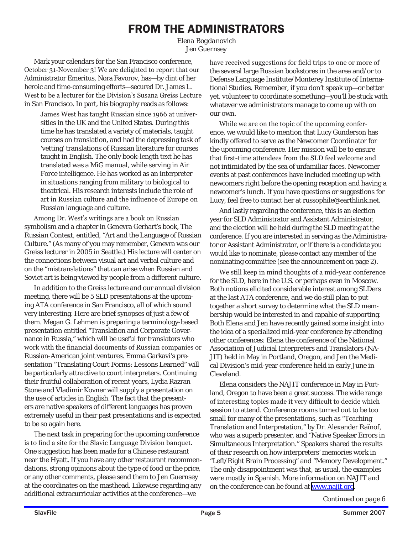### FROM THE ADMINISTRATORS

*Elena Bogdanovich Jen Guernsey*

Mark your calendars for the San Francisco conference, October 31-November 3! We are delighted to report that our Administrator Emeritus, Nora Favorov, has—by dint of her heroic and time-consuming efforts—secured Dr. James L. West to be a lecturer for the Division's Susana Greiss Lecture in San Francisco. In part, his biography reads as follows:

James West has taught Russian since 1966 at universities in the UK and the United States. During this time he has translated a variety of materials, taught courses on translation, and had the depressing task of 'vetting' translations of Russian literature for courses taught in English. The only book-length text he has translated was a MiG manual, while serving in Air Force intelligence. He has worked as an interpreter in situations ranging from military to biological to theatrical. His research interests include the role of art in Russian culture and the influence of Europe on Russian language and culture.

Among Dr. West's writings are a book on Russian symbolism and a chapter in Genevra Gerhart's book, *The Russian Context*, entitled, "Art and the Language of Russian Culture." (As many of you may remember, Genevra was our Greiss lecturer in 2005 in Seattle.) His lecture will center on the connections between visual art and verbal culture and on the "mistranslations" that can arise when Russian and Soviet art is being viewed by people from a different culture.

In addition to the Greiss lecture and our annual division meeting, there will be 5 SLD presentations at the upcoming ATA conference in San Francisco, all of which sound very interesting. Here are brief synopses of just a few of them. Megan G. Lehmen is preparing a terminology-based presentation entitled "Translation and Corporate Governance in Russia," which will be useful for translators who work with the financial documents of Russian companies or Russian-American joint ventures. Emma Garkavi's presentation "Translating Court Forms: Lessons Learned" will be particularly attractive to court interpreters. Continuing their fruitful collaboration of recent years, Lydia Razran Stone and Vladimir Kovner will supply a presentation on the use of articles in English. The fact that the presenters are native speakers of different languages has proven extremely useful in their past presentations and is expected to be so again here.

The next task in preparing for the upcoming conference is to find a site for the Slavic Language Division banquet. One suggestion has been made for a Chinese restaurant near the Hyatt. If you have any other restaurant recommendations, strong opinions about the type of food or the price, or any other comments, please send them to Jen Guernsey at the coordinates on the masthead. Likewise regarding any additional extracurricular activities at the conference—we

have received suggestions for field trips to one or more of the several large Russian bookstores in the area and/or to Defense Language Institute/Monterey Institute of International Studies. Remember, if you don't speak up—or better yet, volunteer to coordinate something—you'll be stuck with whatever we administrators manage to come up with on our own.

While we are on the topic of the upcoming conference, we would like to mention that Lucy Gunderson has kindly offered to serve as the Newcomer Coordinator for the upcoming conference. Her mission will be to ensure that first-time attendees from the SLD feel welcome and not intimidated by the sea of unfamiliar faces. Newcomer events at past conferences have included meeting up with newcomers right before the opening reception and having a newcomer's lunch. If you have questions or suggestions for Lucy, feel free to contact her at russophile@earthlink.net.

And lastly regarding the conference, this is an election year for SLD Administrator and Assistant Administrator, and the election will be held during the SLD meeting at the conference. If you are interested in serving as the Administrator or Assistant Administrator, or if there is a candidate you would like to nominate, please contact any member of the nominating committee (see the announcement on page 2).

We still keep in mind thoughts of a mid-year conference for the SLD, here in the U.S. or perhaps even in Moscow. Both notions elicited considerable interest among SLDers at the last ATA conference, and we do still plan to put together a short survey to determine what the SLD membership would be interested in and capable of supporting. Both Elena and Jen have recently gained some insight into the idea of a specialized mid-year conference by attending other conferences: Elena the conference of the National Association of Judicial Interpreters and Translators (NA-JIT) held in May in Portland, Oregon, and Jen the Medical Division's mid-year conference held in early June in Cleveland.

Elena considers the NAJIT conference in May in Portland, Oregon to have been a great success. The wide range of interesting topics made it very difficult to decide which session to attend. Conference rooms turned out to be too small for many of the presentations, such as "Teaching Translation and Interpretation," by Dr. Alexander Raïnof, who was a superb presenter, and "Native Speaker Errors in Simultaneous Interpretation." Speakers shared the results of their research on how interpreters' memories work in "Left/Right Brain Processing" and "Memory Development." The only disappointment was that, as usual, the examples were mostly in Spanish. More information on NAJIT and on the conference can be found at [www.najit.org](http://www.najit.org).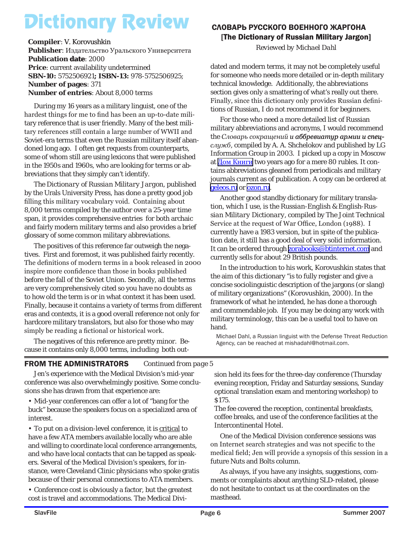# Dictionary Review

*Reviewed by Michael Dahl* **Compiler**: V. Korovushkin **Publisher**: Издательство Уральского Университета **Publication date: 2000 Price**: current availability undetermined **SBN-10:** 5752506921**; ISBN-13:** 978-5752506925; **Number of pages**: 371 **Number of entries**: About 8,000 terms

During my 16 years as a military linguist, one of the hardest things for me to find has been an up-to-date military reference that is user friendly. Many of the best military references still contain a large number of WWII and Soviet-era terms that even the Russian military itself abandoned long ago. I often get requests from counterparts, some of whom still are using lexicons that were published in the 1950s and 1960s, who are looking for terms or abbreviations that they simply can't identify.

*The Dictionary of Russian Military Jargon*, published by the Urals University Press, has done a pretty good job filling this military vocabulary void. Containing about 8,000 terms compiled by the author over a 25-year time span, it provides comprehensive entries for both archaic and fairly modern military terms and also provides a brief glossary of some common military abbreviations.

The positives of this reference far outweigh the negatives. First and foremost, it was published fairly recently. The definitions of modern terms in a book released in 2000 inspire more confidence than those in books published before the fall of the Soviet Union. Secondly, all the terms are very comprehensively cited so you have no doubts as to how old the term is or in what context it has been used. Finally, because it contains a variety of terms from different eras and contexts, it is a good overall reference not only for hardcore military translators, but also for those who may simply be reading a fictional or historical work.

The negatives of this reference are pretty minor. Because it contains only 8,000 terms, including both out-

### СЛОВАРЬ РУССКОГО ВОЕННОГО ЖАРГОНА [The Dictionary of Russian Military Jargon]

dated and modern terms, it may not be completely useful for someone who needs more detailed or in-depth military technical knowledge. Additionally, the abbreviations section gives only a smattering of what's really out there. Finally, since this dictionary only provides Russian definitions of Russian, I do not recommend it for beginners.

For those who need a more detailed list of Russian military abbreviations and acronyms, I would recommend the *Словарь сокращений* и аббревиатур армии и спец*служб*, compiled by A. A. Shchelokov and published by LG Information Group in 2003. I picked up a copy in Moscow at **[Дом Книги](http://dom-knigi.ru/scheme.asp)** two years ago for a mere 80 rubles. It contains abbreviations gleaned from periodicals and military journals current as of publication. A copy can be ordered at [geleos.ru](mailto:geleos.ru) or [ozon.ru.](mailto:me@ozon.ru)

Another good standby dictionary for military translation, which I use, is the *Russian-English & English-Russian Military Dictionary*, compiled by The Joint Technical Service at the request of War Office, London (1988). I currently have a 1983 version, but in spite of the publication date, it still has a good deal of very solid information. It can be ordered through **zorabooks@btinternet.com** and currently sells for about 29 British pounds.

In the introduction to his work, Korovushkin states that the aim of this dictionary "is to fully register and give a concise sociolinguistic description of the jargons (or slang) of military organizations" (Korovushkin, 2000). In the framework of what he intended, he has done a thorough and commendable job. If you may be doing any work with military terminology, this can be a useful tool to have on hand.

Michael Dahl, a Russian linguist with the Defense Threat Reduction Agency, can be reached at mishadahl@hotmail.com.

### FROM THE ADMINISTRATORS *Continued from page 5*

Jen's experience with the Medical Division's mid-year conference was also overwhelmingly positive. Some conclusions she has drawn from that experience are:

• Mid-year conferences can offer a lot of "bang for the buck" because the speakers focus on a specialized area of interest.

• To put on a division-level conference, it is critical to have a few ATA members available locally who are able and willing to coordinate local conference arrangements, and who have local contacts that can be tapped as speakers. Several of the Medical Division's speakers, for instance, were Cleveland Clinic physicians who spoke gratis because of their personal connections to ATA members.

• Conference cost is obviously a factor, but the greatest cost is travel and accommodations. The Medical Division held its fees for the three-day conference (Thursday evening reception, Friday and Saturday sessions, Sunday optional translation exam and mentoring workshop) to \$175.

The fee covered the reception, continental breakfasts, coffee breaks, and use of the conference facilities at the Intercontinental Hotel.

One of the Medical Division conference sessions was on Internet search strategies and was not specific to the medical field; Jen will provide a synopsis of this session in a future Nuts and Bolts column.

As always, if you have any insights, suggestions, comments or complaints about anything SLD-related, please do not hesitate to contact us at the coordinates on the masthead.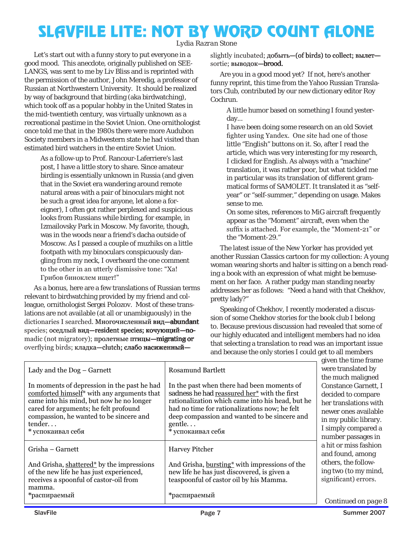### SLAVFILE LITE: NOT BY WORD COUNT ALONE

*Lydia Razran Stone*

Let's start out with a funny story to put everyone in a good mood. This anecdote, originally published on SEE-LANGS, was sent to me by Liv Bliss and is reprinted with the permission of the author, John Meredig, a professor of Russian at Northwestern University. It should be realized by way of background that birding (aka birdwatching), which took off as a popular hobby in the United States in the mid-twentieth century, was virtually unknown as a recreational pastime in the Soviet Union. One ornithologist once told me that in the 1980s there were more Audubon Society members in a Midwestern state he had visited than estimated bird watchers in the entire Soviet Union.

As a follow-up to Prof. Rancour-Laferriere's last post, I have a little story to share. Since amateur birding is essentially unknown in Russia (and given that in the Soviet era wandering around remote natural areas with a pair of binoculars might not be such a great idea for anyone, let alone a foreigner), I often got rather perplexed and suspicious looks from Russians while birding, for example, in Izmailovsky Park in Moscow. My favorite, though, was in the woods near a friend's dacha outside of Moscow. As I passed a couple of muzhiks on a little footpath with my binoculars conspicuously dangling from my neck, I overheard the one comment to the other in an utterly dismissive tone: "Ха! Грибов биноклем ищет!"

As a bonus, here are a few translations of Russian terms relevant to birdwatching provided by my friend and colleague, ornithologist Sergei Polozov. Most of these translations are not available (at all or unambiguously) in the dictionaries I searched. Многочисленный вид-abundant species; оседлый вид-resident species; кочующий-поmadic (not migratory); пролетные птицы—migrating or overflying birds; кладка-clutch; слабо насиженныйslightly incubated; добыть - (of birds) to collect; вылетsortie; выводок-brood.

Are you in a good mood yet? If not, here's another funny reprint, this time from the Yahoo Russian Translators Club, contributed by our new dictionary editor Roy Cochrun.

A little humor based on something I found yesterday...

I have been doing some research on an old Soviet fighter using Yandex. One site had one of those little "English" buttons on it. So, after I read the article, which was very interesting for my research, I clicked for English. As always with a "machine" translation, it was rather poor, but what tickled me in particular was its translation of different grammatical forms of SAMOLET. It translated it as "selfyear" or "self-summer," depending on usage. Makes sense to me.

On some sites, references to MiG aircraft frequently appear as the "Moment" aircraft, even when the suffix is attached. For example, the "Moment-21" or the "Moment-29."

The latest issue of the *New Yorker* has provided yet another Russian Classics cartoon for my collection: A young woman wearing shorts and halter is sitting on a bench reading a book with an expression of what might be bemusement on her face. A rather pudgy man standing nearby addresses her as follows: "Need a hand with that Chekhov, pretty lady?"

Speaking of Chekhov, I recently moderated a discussion of some Chekhov stories for the book club I belong to. Because previous discussion had revealed that some of our highly educated and intelligent members had no idea that selecting a translation to read was an important issue and because the only stories I could get to all members

|                                                                                                       |                                                                                            | given the time frame                              |
|-------------------------------------------------------------------------------------------------------|--------------------------------------------------------------------------------------------|---------------------------------------------------|
| Lady and the Dog – Garnett                                                                            | <b>Rosamund Bartlett</b>                                                                   | were translated by                                |
|                                                                                                       |                                                                                            | the much maligned                                 |
| In moments of depression in the past he had<br>comforted himself <sup>*</sup> with any arguments that | In the past when there had been moments of<br>sadness he had reassured her* with the first | <b>Constance Garnett, I</b><br>decided to compare |
| came into his mind, but now he no longer                                                              | rationalization which came into his head, but he                                           | her translations with                             |
| cared for arguments; he felt profound                                                                 | had no time for rationalizations now; he felt                                              | newer ones available                              |
| compassion, he wanted to be sincere and                                                               | deep compassion and wanted to be sincere and                                               | in my public library.                             |
| tender                                                                                                | gentle                                                                                     | I simply compared a                               |
| * успокаивал себя                                                                                     | * успокаивал себя                                                                          | number passages in                                |
| Grisha - Garnett                                                                                      | <b>Harvey Pitcher</b>                                                                      | a hit or miss fashion                             |
|                                                                                                       |                                                                                            | and found, among                                  |
| And Grisha, shattered <sup>*</sup> by the impressions                                                 | And Grisha, bursting* with impressions of the                                              | others, the follow-                               |
| of the new life he has just experienced,                                                              | new life he has just discovered, is given a                                                | ing two (to my mind,                              |
| receives a spoonful of castor-oil from                                                                | teaspoonful of castor oil by his Mamma.                                                    | significant) errors.                              |
| mamma.                                                                                                |                                                                                            |                                                   |
| *распираемый                                                                                          | *распираемый                                                                               |                                                   |
|                                                                                                       |                                                                                            | Continued on page 8                               |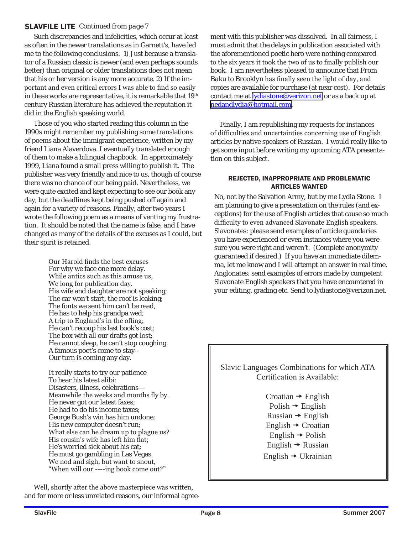### SLAVFILE LITE *Continued from page 7*

Such discrepancies and infelicities, which occur at least as often in the newer translations as in Garnett's, have led me to the following conclusions. 1) Just because a translator of a Russian classic is newer (and even perhaps sounds better) than original or older translations does not mean that his or her version is any more accurate. 2) If the important and even critical errors I was able to find so easily in these works are representative, it is remarkable that 19<sup>th</sup> century Russian literature has achieved the reputation it did in the English speaking world.

Those of you who started reading this column in the 1990s might remember my publishing some translations of poems about the immigrant experience, written by my friend Liana Alaverdova. I eventually translated enough of them to make a bilingual chapbook. In approximately 1999, Liana found a small press willing to publish it. The publisher was very friendly and nice to us, though of course there was no chance of our being paid. Nevertheless, we were quite excited and kept expecting to see our book any day, but the deadlines kept being pushed off again and again for a variety of reasons. Finally, after two years I wrote the following poem as a means of venting my frustration. It should be noted that the name is false, and I have changed as many of the details of the excuses as I could, but their spirit is retained.

> Our Harold finds the best excuses For why we face one more delay. While antics such as this amuse us, We long for publication day. His wife and daughter are not speaking; The car won't start, the roof is leaking; The fonts we sent him can't be read, He has to help his grandpa wed; A trip to England's in the offing; He can't recoup his last book's cost; The box with all our drafts got lost; He cannot sleep, he can't stop coughing. A famous poet's come to stay-- Our turn is coming any day.

It really starts to try our patience To hear his latest alibi: Disasters, illness, celebrations— Meanwhile the weeks and months fly by. He never got our latest faxes; He had to do his income taxes; George Bush's win has him undone; His new computer doesn't run; What else can he dream up to plague us? His cousin's wife has left him flat; He's worried sick about his cat; He must go gambling in Las Vegas. We nod and sigh, but want to shout, "When will our ----ing book come out?"

Well, shortly after the above masterpiece was written, and for more or less unrelated reasons, our informal agreement with this publisher was dissolved. In all fairness, I must admit that the delays in publication associated with the aforementioned poetic hero were nothing compared to the six years it took the two of us to finally publish our book. I am nevertheless pleased to announce that *From Baku to Brooklyn* has finally seen the light of day, and copies are available for purchase (at near cost). For details contact me at **lydiastone@verizon.net** or as a back up at [nedandlydia@hotmail.com.]( mailto:nedandlydia@hotmail.com )

Finally, I am republishing my requests for instances of difficulties and uncertainties concerning use of English articles by native speakers of Russian. I would really like to get some input before writing my upcoming ATA presentation on this subject.

#### REJECTED, INAPPROPRIATE AND PROBLEMATIC ARTICLES WANTED

No, not by the Salvation Army, but by me Lydia Stone. I am planning to give a presentation on the rules (and exceptions) for the use of English articles that cause so much difficulty to even advanced Slavonate English speakers. Slavonates: please send examples of article quandaries you have experienced or even instances where you were sure you were right and weren't. (Complete anonymity guaranteed if desired.) If you have an immediate dilemma, let me know and I will attempt an answer in real time. Anglonates: send examples of errors made by competent Slavonate English speakers that you have encountered in your editing, grading etc. Send to lydiastone@verizon.net.

Slavic Languages Combinations for which ATA Certification is Available:

> Croatian  $\rightarrow$  English  $Polish \rightarrow English$  $Russian \rightarrow English$ English  $\rightarrow$  Croatian  $English \rightarrow Polish$ English  $\rightarrow$  Russian English  $\rightarrow$  Ukrainian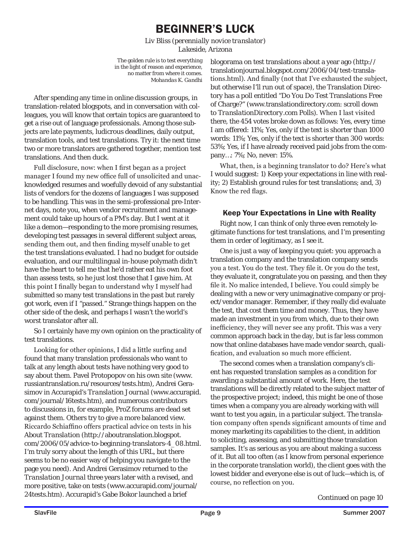### BEGINNER'S LUCK

*Liv Bliss (perennially novice translator) Lakeside, Arizona*

The golden rule is to test everything in the light of reason and experience, no matter from where it comes. *Mohandas K. Gandhi*

After spending any time in online discussion groups, in translation-related blogspots, and in conversation with colleagues, you will know that certain topics are guaranteed to get a rise out of language professionals. Among those subjects are late payments, ludicrous deadlines, daily output, translation tools, and test translations. Try it: the next time two or more translators are gathered together, mention test translations. And then duck.

Full disclosure, now: when I first began as a project manager I found my new office full of unsolicited and unacknowledged resumes and woefully devoid of any substantial lists of vendors for the dozens of languages I was supposed to be handling. This was in the semi-professional pre-Internet days, note you, when vendor recruitment and management could take up hours of a PM's day. But I went at it like a demon—responding to the more promising resumes, developing test passages in several different subject areas, sending them out, and then finding myself unable to get the test translations evaluated. I had no budget for outside evaluation, and our multilingual in-house polymath didn't have the heart to tell me that he'd rather eat his own foot than assess tests, so he just lost those that I gave him. At this point I finally began to understand why I myself had submitted so many test translations in the past but rarely got work, even if I "passed." Strange things happen on the other side of the desk, and perhaps I wasn't the world's worst translator after all.

So I certainly have my own opinion on the practicality of test translations.

Looking for other opinions, I did a little surfing and found that many translation professionals who want to talk at any length about tests have nothing very good to say about them. Pavel Protopopov on his own site (www. russiantranslation.ru/resources/tests.htm), Andrei Gerasimov in Accurapid's *Translation Journal* (www.accurapid. com/journal/16tests.htm), and numerous contributors to discussions in, for example, ProZ forums are dead set against them. Others try to give a more balanced view. Riccardo Schiaffino offers practical advice on tests in his *About Translation* (http://aboutranslation.blogspot. com/2006/05/advice-to-beginning-translators-4\_08.html. I'm truly sorry about the length of this URL, but there seems to be no easier way of helping you navigate to the page you need). And Andrei Gerasimov returned to the *Translation Journal* three years later with a revised, and more positive, take on tests (www.accurapid.com/journal/ 24tests.htm). Accurapid's Gabe Bokor launched a brief

blogorama on test translations about a year ago (http:// translationjournal.blogspot.com/2006/04/test-translations.html). And finally (not that I've exhausted the subject, but otherwise I'll run out of space), the Translation Directory has a poll entitled "Do You Do Test Translations Free of Charge?" (www.translationdirectory.com: scroll down to *TranslationDirectory.com Polls*). When I last visited there, the 454 votes broke down as follows: Yes, every time I am offered: 11%; Yes, only if the text is shorter than 1000 words: 11%; Yes, only if the text is shorter than 300 words: 53%; Yes, if I have already received paid jobs from the company…: 7%; No, never: 15%.

What, then, is a beginning translator to do? Here's what I would suggest: 1) Keep your expectations in line with reality; 2) Establish ground rules for test translations; and, 3) Know the red flags.

### Keep Your Expectations in Line with Reality

Right now, I can think of only three even remotely legitimate functions for test translations, and I'm presenting them in order of legitimacy, as I see it.

One is just a way of keeping you quiet: you approach a translation company and the translation company sends you a test. You do the test. They file it. Or you do the test, they evaluate it, congratulate you on passing, and then they file it. No malice intended, I believe. You could simply be dealing with a new or very unimaginative company or project/vendor manager. Remember, if they really did evaluate the test, that cost *them* time and money. Thus, they have made an investment in you from which, due to their own inefficiency, they will never see any profit. This was a very common approach back in the day, but is far less common now that online databases have made vendor search, qualification, and evaluation so much more efficient.

The second comes when a translation company's client has requested translation samples as a condition for awarding a substantial amount of work. Here, the test translations will be directly related to the subject matter of the prospective project; indeed, this might be one of those times when a company you are already working with will want to test you again, in a particular subject. The translation company often spends significant amounts of time and money marketing its capabilities to the client, in addition to soliciting, assessing, and submitting those translation samples. It's as serious as you are about making a success of it. But all too often (as I know from personal experience in the corporate translation world), the client goes with the lowest bidder and everyone else is out of luck—which is, of course, no reflection on you.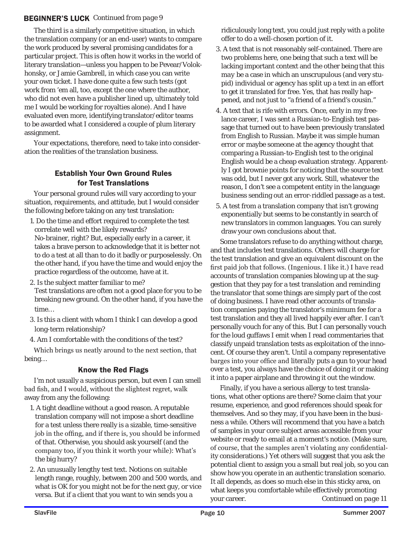### BEGINNER'S LUCK *Continued from page 9*

The third is a similarly competitive situation, in which the translation company (or an end-user) wants to compare the work produced by several promising candidates for a particular project. This is often how it works in the world of literary translation—unless you happen to be Pevear/Volokhonsky, or Jamie Gambrell, in which case you can write your own ticket. I have done quite a few such tests (got work from 'em all, too, except the one where the author, who did not even have a publisher lined up, ultimately told me I would be working for royalties alone). And I have evaluated even more, identifying translator/editor teams to be awarded what I considered a couple of plum literary assignment.

Your expectations, therefore, need to take into consideration the realities of the translation business.

### Establish Your Own Ground Rules for Test Translations

Your personal ground rules will vary according to your situation, requirements, and attitude, but I would consider the following before taking on any test translation:

- 1. Do the time and effort required to complete the test correlate well with the likely rewards? No-brainer, right? But, especially early in a career, it takes a brave person to acknowledge that it is better not to do a test at all than to do it badly or purposelessly. On the other hand, if you have the time and would enjoy the practice regardless of the outcome, have at it.
- 2. Is the subject matter familiar to me?

Test translations are often not a good place for you to be breaking new ground. On the other hand, if you have the time…

- 3. Is this a client with whom I think I can develop a good long-term relationship?
- 4. Am I comfortable with the conditions of the test?

Which brings us neatly around to the next section, that being…

### Know the Red Flags

I'm not usually a suspicious person, but even I can smell bad fish, and I would, without the slightest regret, walk away from any the following:

- 1. A tight deadline without a good reason. A reputable translation company will not impose a short deadline for a test unless there really is a sizable, time-sensitive job in the offing, and if there is, you should be informed of that. Otherwise, you should ask yourself (and the company too, if you think it worth your while): What's the big hurry?
- 2. An unusually lengthy test text. Notions on suitable length range, roughly, between 200 and 500 words, and what is OK for you might not be for the next guy, or vice versa. But if a client that you want to win sends you a

ridiculously long text, you could just reply with a polite offer to do a well-chosen portion of it.

- 3. A text that is not reasonably self-contained. There are two problems here, one being that such a text will be lacking important context and the other being that this *may* be a case in which an unscrupulous (and very stupid) individual or agency has split up a text in an effort to get it translated for free. Yes, that has really happened, and not just to "a friend of a friend's cousin."
- 4. A text that is rife with errors. Once, early in my freelance career, I was sent a Russian-to-English test passage that turned out to have been previously translated from English to Russian. Maybe it was simple human error or maybe someone at the agency thought that comparing a Russian-to-English test to the original English would be a cheap evaluation strategy. Apparently I got brownie points for noticing that the source text was odd, but I never got any work. Still, whatever the reason, I don't see a competent entity in the language business sending out an error-riddled passage as a test.
- 5. A test from a translation company that isn't growing exponentially but seems to be constantly in search of new translators in common languages. You can surely draw your own conclusions about that.

Some translators refuse to do anything without charge, and that includes test translations. Others will charge for the test translation and give an equivalent discount on the first paid job that follows. (Ingenious. I like it.) I have read accounts of translation companies blowing up at the suggestion that they pay for a test translation and reminding the translator that some things are simply part of the cost of doing business. I have read other accounts of translation companies paying the translator's minimum fee for a test translation and they all lived happily ever after. I can't personally vouch for any of this. But I can personally vouch for the loud guffaws I emit when I read commentaries that classify unpaid translation tests as exploitation of the innocent. Of course they aren't. Until a company representative barges into your office and *literally* puts a gun to your head over a test, you always have the choice of doing it or making it into a paper airplane and throwing it out the window.

Finally, if you have a serious allergy to test translations, what other options are there? Some claim that your resume, experience, and good references should speak for themselves. And so they may, if you have been in the business a while. Others will recommend that you have a batch of samples in your core subject areas accessible from your website or ready to email at a moment's notice. (Make sure, of course, that the samples aren't violating any confidentiality considerations.) Yet others will suggest that you ask the potential client to assign you a small but real job, so you can show how you operate in an authentic translation scenario. It all depends, as does so much else in this sticky area, on what keeps you comfortable while effectively promoting your career. *Continued on page 11*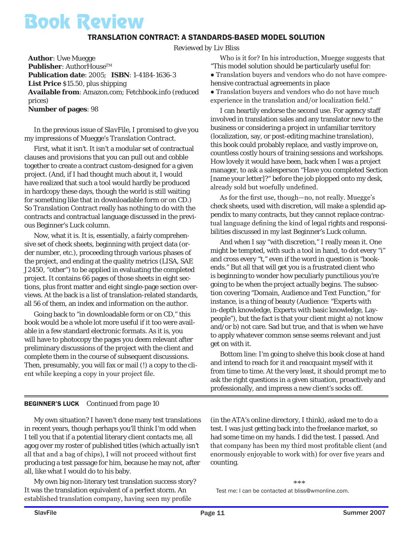## Book Review

### TRANSLATION CONTRACT: A STANDARDS-BASED MODEL SOLUTION

*Reviewed by Liv Bliss*

**Author**: Uwe Muegge Publisher: AuthorHouse™ **Publication date**: 2005; **ISBN**: 1-4184-1636-3 **List Price** \$15.50, plus shipping **Available from**: Amazon.com; Fetchbook.info (reduced prices) **Number of pages**: 98

In the previous issue of *SlavFile*, I promised to give you my impressions of Muegge's *Translation Contract*.

First, what it *isn't*. It isn't a modular set of contractual clauses and provisions that you can pull out and cobble together to create a contract custom-designed for a given project. (And, if I had thought much about it, I would have realized that such a tool would hardly be produced in hardcopy these days, though the world is still waiting for something like that in downloadable form or on CD.) So *Translation Contract* really has nothing to do with the contracts and contractual language discussed in the previous Beginner's Luck column.

Now, what it *is.* It is, essentially, a fairly comprehensive set of check sheets, beginning with project data (order number, etc.), proceeding through various phases of the project, and ending at the quality metrics (LISA, SAE J2450, "other") to be applied in evaluating the completed project. It contains 66 pages of those sheets in eight sections, plus front matter and eight single-page section overviews. At the back is a list of translation-related standards, all 56 of them, an index and information on the author.

Going back to "in downloadable form or on CD," this book would be a whole lot more useful if it too were available in a few standard electronic formats. As it is, you will have to photocopy the pages you deem relevant after preliminary discussions of the project with the client and complete them in the course of subsequent discussions. Then, presumably, you will fax or mail (!) a copy to the client while keeping a copy in your project file.

Who is it for? In his introduction, Muegge suggests that "This model solution should be particularly useful for: ● Translation buyers and vendors who do not have compre-

hensive contractual agreements in place ● Translation buyers and vendors who do not have much experience in the translation and/or localization field."

I can heartily endorse the second use. For agency staff involved in translation sales and any translator new to the business or considering a project in unfamiliar territory (localization, say, or post-editing machine translation), this book could probably replace, and vastly improve on, countless costly hours of training sessions and workshops. How lovely it would have been, back when I was a project manager, to ask a salesperson "Have you completed Section [name your letter]?" *before* the job plopped onto my desk, already sold but woefully undefined.

As for the first use, though—no, not really. Muegge's check sheets, used with discretion, will make a splendid appendix to many contracts, but they cannot replace contractual language defining the kind of *legal* rights and responsibilities discussed in my last Beginner's Luck column.

And when I say "with discretion," I really mean it. One might be tempted, with such a tool in hand, to dot every "i" and cross every "t," even if the word in question is "bookends." But all that will get you is a frustrated client who is beginning to wonder how peculiarly punctilious you're going to be when the project actually begins. The subsection covering "Domain, Audience and Text Function," for instance, is a thing of beauty (Audience: "Experts with in-depth knowledge, Experts with basic knowledge, Laypeople"), but the fact is that your client might a) not know and/or b) not care. Sad but true, and that is when we have to apply whatever common sense seems relevant and just get on with it.

Bottom line: I'm going to shelve this book close at hand and intend to reach for it and reacquaint myself with it from time to time. At the very least, it should prompt me to ask the right questions in a given situation, proactively and professionally, and impress a new client's socks off.

### BEGINNER'S LUCK *Continued from page 10*

My own situation? I haven't done many test translations in recent years, though perhaps you'll think I'm odd when I tell you that if a potential literary client contacts me, all agog over my roster of published titles (which actually *isn't* all that and a bag of chips), I will not proceed without first producing a test passage for him, because he may not, after all, like what I would do to his baby.

My own big non-literary test translation success story? It was the translation equivalent of a perfect storm. An established translation company, having seen my profile

(in the ATA's online directory, I think), asked me to do a test. I was just getting back into the freelance market, so had some time on my hands. I did the test. I passed. And that company has been my third most profitable client (and enormously enjoyable to work with) for over five years and counting.

\*\*\* Test me: I can be contacted at bliss@wmonline.com.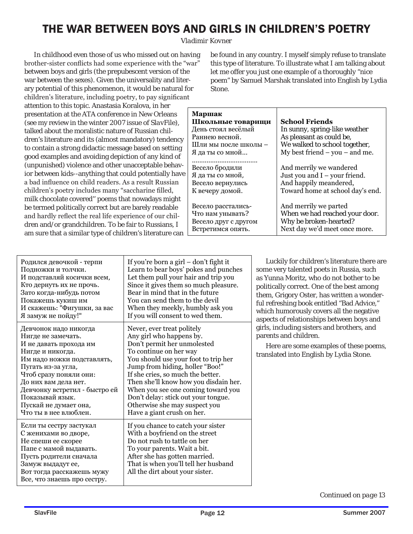### THE WAR BETWEEN BOYS AND GIRLS IN CHILDREN'S POETRY

*Vladimir Kovner*

In childhood even those of us who missed out on having brother-sister conflicts had some experience with the "war" between boys and girls (the prepubescent version of the war between the sexes). Given the universality and literary potential of this phenomenon, it would be natural for children's literature, including poetry, to pay significant attention to this topic. Anastasia Koralova, in her presentation at the ATA conference in New Orleans (see my review in the winter 2007 issue of *SlavFile*), talked about the moralistic nature of Russian children's literature and its (almost mandatory) tendency to contain a strong didactic message based on setting good examples and avoiding depiction of any kind of (unpunished) violence and other unacceptable behavior between kids--anything that could potentially have a bad influence on child readers. As a result Russian children's poetry includes many "saccharine filled, milk chocolate covered'' poems that nowadays might be termed politically correct but are barely readable and hardly reflect the real life experience of our children and/or grandchildren. To be fair to Russians, I am sure that a similar type of children's literature can

be found in any country. I myself simply refuse to translate this type of literature. To illustrate what I am talking about let me offer you just one example of a thoroughly "nice poem" by Samuel Marshak translated into English by Lydia Stone.

| <b>School Friends</b>              |
|------------------------------------|
| In sunny, spring-like weather      |
| As pleasant as could be,           |
| We walked to school together,      |
| My best friend $-$ you $-$ and me. |
|                                    |
| And merrily we wandered            |
| Just you and $I$ – your friend.    |
| And happily meandered,             |
| Toward home at school day's end.   |
|                                    |
| And merrily we parted              |
| When we had reached your door.     |
| Why be broken-hearted?             |
| Next day we'd meet once more.      |
|                                    |

| Родился девочкой - терпи<br>Подножки и толчки.<br>И подставляй косички всем,<br>Кто дернуть их не прочь.<br>Зато когда-нибудь потом<br>Покажешь кукиш им<br>И скажешь: "Фигушки, за вас<br>Я замуж не пойду!"                                                                                         | If you're born a girl – don't fight it<br>Learn to bear boys' pokes and punches<br>Let them pull your hair and trip you<br>Since it gives them so much pleasure.<br>Bear in mind that in the future<br>You can send them to the devil<br>When they meekly, humbly ask you<br>If you will consent to wed them.                                                                                                        | Lu<br>some :<br>as Yur<br>politic<br>them,<br>ful ref<br>which<br>aspect<br>girls, i<br>parent<br>He<br>transl |
|-------------------------------------------------------------------------------------------------------------------------------------------------------------------------------------------------------------------------------------------------------------------------------------------------------|----------------------------------------------------------------------------------------------------------------------------------------------------------------------------------------------------------------------------------------------------------------------------------------------------------------------------------------------------------------------------------------------------------------------|----------------------------------------------------------------------------------------------------------------|
| Девчонок надо никогда<br>Нигде не замечать.<br>И не давать прохода им<br>Нигде и никогда.<br>Им надо ножки подставлять,<br>Пугать из-за угла,<br>Чтоб сразу поняли они:<br>До них вам дела нет.<br>Девчонку встретил - быстро ей<br>Показывай язык.<br>Пускай не думает она,<br>Что ты в нее влюблен. | Never, ever treat politely<br>Any girl who happens by.<br>Don't permit her unmolested<br>To continue on her way<br>You should use your foot to trip her<br>Jump from hiding, holler "Boo!"<br>If she cries, so much the better.<br>Then she'll know how you disdain her.<br>When you see one coming toward you<br>Don't delay: stick out your tongue.<br>Otherwise she may suspect you<br>Have a giant crush on her. |                                                                                                                |
| Если ты сестру застукал<br>С женихами во дворе,<br>Не спеши ее скорее<br>Папе с мамой выдавать.<br>Пусть родители сначала<br>Замуж выдадут ее,<br>Вот тогда расскажешь мужу<br>Все, что знаешь про сестру.                                                                                            | If you chance to catch your sister<br>With a boyfriend on the street<br>Do not rush to tattle on her<br>To your parents. Wait a bit.<br>After she has gotten married.<br>That is when you'll tell her husband<br>All the dirt about your sister.                                                                                                                                                                     |                                                                                                                |

ckily for children's literature there are very talented poets in Russia, such nna Moritz, who do not bother to be cally correct. One of the best among Grigory Oster, has written a wonderfreshing book entitled "Bad Advice," humorously covers all the negative ts of relationships between boys and including sisters and brothers, and ts and children.

ere are some examples of these poems, ated into English by Lydia Stone.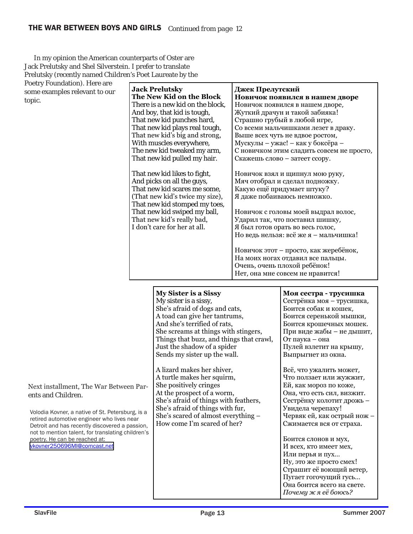r

In my opinion the American counterparts of Oster are Jack Prelutsky and Shel Silverstein. I prefer to translate Prelutsky (recently named Children's Poet Laureate by the

Poetry Foundation). Here are some examples relevant to our topic.

| <b>Jack Prelutsky</b>            | Джек Прелутский                           |
|----------------------------------|-------------------------------------------|
| The New Kid on the Block         | Новичок появился в нашем дворе            |
| There is a new kid on the block, | Новичок появился в нашем дворе,           |
| And boy, that kid is tough,      | Жуткий драчун и такой забияка!            |
| That new kid punches hard,       | Страшно грубый в любой игре,              |
| That new kid plays real tough,   | Со всеми мальчишками лезет в драку.       |
| That new kid's big and strong,   | Выше всех чуть не вдвое ростом,           |
| With muscles everywhere,         | Мускулы - ужас! - как у боксёра -         |
| The new kid tweaked my arm,      | С новичком этим сладить совсем не просто, |
| That new kid pulled my hair.     | Скажешь слово – затеет ссору.             |
| That new kid likes to fight,     | Новичок взял и щипнул мою руку,           |
| And picks on all the guys,       | Мяч отобрал и сделал подножку.            |
| That new kid scares me some,     | Какую ещё придумает штуку?                |
| (That new kid's twice my size),  | Я даже побаиваюсь немножко.               |
| That new kid stomped my toes,    |                                           |
| That new kid swiped my ball,     | Новичок с головы моей выдрал волос,       |
| That new kid's really bad,       | Ударил так, что поставил шишку,           |
| I don't care for her at all.     | Я был готов орать во весь голос,          |
|                                  | Но ведь нельзя: всё же я - мальчишка!     |
|                                  | Новичок этот – просто, как жеребёнок,     |
|                                  | На моих ногах отдавил все пальцы.         |
|                                  | Очень, очень плохой ребёнок!              |
|                                  | Нет, она мне совсем не нравится!          |
|                                  |                                           |

|                                                                                                | <b>My Sister is a Sissy</b>              | Моя сестра - трусишка       |
|------------------------------------------------------------------------------------------------|------------------------------------------|-----------------------------|
|                                                                                                | My sister is a sissy,                    | Сестрёнка моя - трусишка,   |
|                                                                                                | She's afraid of dogs and cats,           | Боится собак и кошек,       |
|                                                                                                | A toad can give her tantrums,            | Боится серенькой мышки,     |
|                                                                                                | And she's terrified of rats,             | Боится крошечных мошек.     |
|                                                                                                | She screams at things with stingers,     | При виде жабы – не дышит,   |
|                                                                                                | Things that buzz, and things that crawl, | От паука - она              |
|                                                                                                | Just the shadow of a spider              | Пулей взлетит на крышу,     |
|                                                                                                | Sends my sister up the wall.             | Выпрыгнет из окна.          |
|                                                                                                | A lizard makes her shiver,               | Всё, что ужалить может,     |
|                                                                                                | A turtle makes her squirm,               | Что ползает или жужжит,     |
| Next installment, The War Between Par-                                                         | She positively cringes                   | Ей, как мороз по коже,      |
| ents and Children.                                                                             | At the prospect of a worm,               | Она, что есть сил, визжит.  |
|                                                                                                | She's afraid of things with feathers,    | Сестрёнку колотит дрожь -   |
|                                                                                                | She's afraid of things with fur,         | Увидела черепаху!           |
| Volodia Kovner, a native of St. Petersburg, is a<br>retired automotive engineer who lives near | She's scared of almost everything –      | Червяк ей, как острый нож - |
| Detroit and has recently discovered a passion,                                                 | How come I'm scared of her?              | Сжимается вся от страха.    |
| not to mention talent, for translating children's<br>poetry. He can be reached at:             |                                          | Боится слонов и мух,        |
| vkovner250696MI@comcast.net                                                                    |                                          | И всех, кто имеет мех,      |
|                                                                                                |                                          | Или перья и пух             |
|                                                                                                |                                          | Ну, это же просто смех!     |
|                                                                                                |                                          | Страшит её воющий ветер,    |
|                                                                                                |                                          | Пугает гогочущий гусь       |
|                                                                                                |                                          | Она боится всего на свете.  |
|                                                                                                |                                          | Почему ж я её боюсь?        |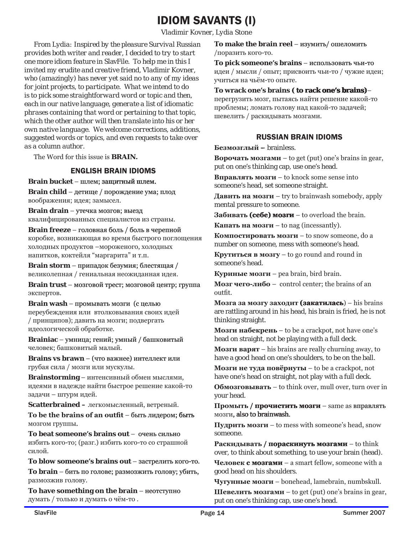### **IDIOM SAVANTS (I)**

Vladimir Kovner, Lydia Stone

From Lydia: Inspired by the pleasure Survival Russian provides both writer and reader. I decided to try to start one more idiom feature in SlavFile. To help me in this I invited my erudite and creative friend, Vladimir Kovner, who (amazingly) has never yet said no to any of my ideas for joint projects, to participate. What we intend to do is to pick some straightforward word or topic and then, each in our native language, generate a list of idiomatic phrases containing that word or pertaining to that topic, which the other author will then translate into his or her own native language. We welcome corrections, additions, suggested words or topics, and even requests to take over as a column author.

The Word for this issue is **BRAIN.** 

### **ENGLISH BRAIN IDIOMS**

#### Brain bucket - шлем; защитный шлем.

**Brain child** - детище / порождение ума; плод воображения; идея; замысел.

Brain drain - утечка мозгов; выезд квалифицированных специалистов из страны.

**Brain freeze** - головная боль / боль в черепной коробке, возникающая во время быстрого поглощения холодных продуктов - мороженого, холодных напитков, коктейля "маргарита" и т.п.

**Brain storm** - припадок безумия; блестящая / великолепная / гениальная неожиданная идея.

Brain trust - мозговой трест; мозговой центр; группа экспертов.

Brain wash - промывать мозги (с целью переубеждения или втолковывания своих идей / принципов); давить на мозги; подвергать идеологической обработке.

**Brainiac** - умница; гений; умный / башковитый человек; башковитый малый.

**Brains vs brawn** – (что важнее) интеллект или грубая сила / мозги или мускулы.

Brainstorming - интенсивный обмен мыслями, идеями в надежде найти быстрое решение какой-то задачи - штурм идей.

Scatterbrained - легкомысленный, ветреный.

To be the brains of an outfit - быть лидером; быть мозгом группы.

To beat someone's brains out - очень сильно избить кого-то; (разг.) избить кого-то со страшной силой.

To blow someone's brains out - застрелить кого-то.

То brain - бить по голове; размозжить голову; убить, размозжив голову.

To have something on the brain - HeOTCTVIIHO думать / только и думать о чём-то.

To make the brain reel - изумить/ ошеломить /поразить кого-то.

To pick someone's brains - использовать чьи-то идеи / мысли / опыт; присвоить чьи-то / чужие идеи; учиться на чьём-то опыте.

#### To wrack one's brains (to rack one's brains)-

перегрузить мозг, пытаясь найти решение какой-то проблемы; ломать голову над какой-то задачей; шевелить / раскидывать мозгами.

### **RUSSIAN BRAIN IDIOMS**

### Безмозглый - brainless.

**Ворочать мозгами** – to get (put) one's brains in gear, put on one's thinking cap, use one's head.

**Вправлять мозги** – to knock some sense into someone's head, set someone straight.

Давить на мозги – try to brainwash somebody, apply mental pressure to someone.

Забивать (себе) мозги – to overload the brain.

**Капать на мозги** – to nag (incessantly).

Компостировать мозги – to snow someone, do a number on someone, mess with someone's head.

**Крутиться в мозгу** – to go round and round in someone's head.

Куриные мозги - pea brain, bird brain.

**Мозг чего-либо** – control center; the brains of an outfit.

Мозга за мозгу заходит (закатилась) - his brains are rattling around in his head, his brain is fried, he is not thinking straight.

**Мозги набекрень** – to be a crackpot, not have one's head on straight, not be playing with a full deck.

**MORTH BADAT** – his brains are really churning away, to have a good head on one's shoulders, to be on the ball.

**Мозги не туда повёрнуты** – to be a crackpot, not have one's head on straight, not play with a full deck.

Обмозговывать – to think over, mull over, turn over in your head.

 $\Pi$ ромыть / прочистить мозги – same as вправлять MO3TH, also to brainwash.

 $\Pi$ удрить мозги – to mess with someone's head, snow someone.

Раскидывать / пораскинуть мозгами – to think over, to think about something, to use your brain (head).

**Человек с мозгами** – a smart fellow, someone with a good head on his shoulders.

Чугунные мозги - bonehead, lamebrain, numbskull.

**Шевелить мозгами** – to get (put) one's brains in gear, put on one's thinking cap, use one's head.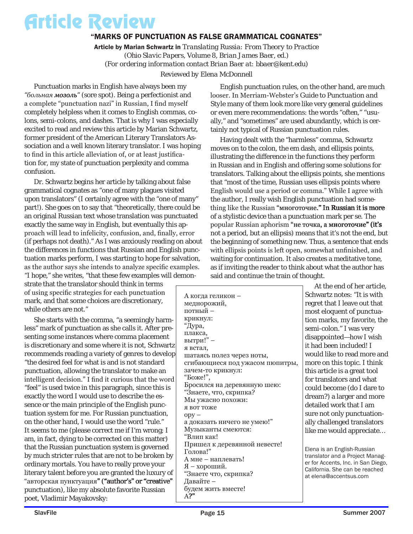### Article Review

### "MARKS OF PUNCTUATION AS FALSE GRAMMATICAL COGNATES"

Article by Marian Schwartz in *Translating Russia: From Theory to Practice (Ohio Slavic Papers, Volume 8, Brian James Baer, ed.) (For ordering information contact Brian Baer at: bbaer@kent.edu)*

*Reviewed by Elena McDonnell*

Punctuation marks in English have always been my "больная мозоль" (sore spot). Being a perfectionist and a complete "punctuation nazi" in Russian, I find myself completely helpless when it comes to English commas, colons, semi-colons, and dashes. That is why I was especially excited to read and review this article by Marian Schwartz, former president of the American Literary Translators Association and a well known literary translator. I was hoping to find in this article alleviation of, or at least justification for, my state of punctuation perplexity and comma confusion.

Dr. Schwartz begins her article by talking about false grammatical cognates as "one of many plagues visited upon translators" (I certainly agree with the "one of many" part!). She goes on to say that "theoretically, there could be an original Russian text whose translation was punctuated exactly the same way in English, but eventually this approach will lead to infelicity, confusion, and, finally, error (if perhaps not death)." As I was anxiously reading on about the differences in functions that Russian and English punctuation marks perform, I was starting to hope for salvation, as the author says she intends to analyze specific examples. "I hope," she writes, "that these few examples will demon-

strate that the translator should think in terms of using specific strategies for each punctuation mark, and that some choices are discretionary, while others are not."

She starts with the comma, "a seemingly harmless" mark of punctuation as she calls it. After presenting some instances where comma placement is discretionary and some where it is not, Schwartz recommends reading a variety of genres to develop "the desired feel for what is and is not standard punctuation, allowing the translator to make an intelligent decision." I find it curious that the word "feel" is used twice in this paragraph, since this is exactly the word I would use to describe the essence or the main principle of the English punctuation system for me. For Russian punctuation, on the other hand, I would use the word "rule." It seems to me (please correct me if I'm wrong; I am, in fact, dying to be corrected on this matter) that the Russian punctuation system is governed by much stricter rules that are not to be broken by ordinary mortals. You have to really prove your literary talent before you are granted the luxury of "авторская пунктуация" ("author's" or "creative" punctuation), like my absolute favorite Russian poet, Vladimir Mayakovsky:

English punctuation rules, on the other hand, are much looser. In Merriam-Webster's *Guide to Punctuation and Style* many of them look more like very general guidelines or even mere recommendations: the words "often," "usually," and "sometimes" are used abundantly, which is certainly not typical of Russian punctuation rules.

Having dealt with the "harmless" comma, Schwartz moves on to the colon, the em dash, and ellipsis points, illustrating the difference in the functions they perform in Russian and in English and offering some solutions for translators. Talking about the ellipsis points, she mentions that "most of the time, Russian uses ellipsis points where English would use a period or comma." While I agree with the author, I really wish English punctuation had something like the Russian "многоточие." In Russian it is more of a stylistic device than a punctuation mark per se. The popular Russian aphorism "не точка, а многоточие" (it's not a period, but an ellipsis) means that it's not the end, but the beginning of something new. Thus, a sentence that ends with ellipsis points is left open, somewhat unfinished, and waiting for continuation. It also creates a meditative tone, as if inviting the reader to think about what the author has said and continue the train of thought.

| А когда геликон -               |
|---------------------------------|
| меднорожий,                     |
| потный –                        |
| крикнул:                        |
| "Дура,                          |
| плакса,                         |
| вытри!" -                       |
| я встал,                        |
| шатаясь полез через ноты,       |
| сгибающиеся под ужасом пюпитры, |
| зачем-то крикнул:               |
| "Боже!",                        |
| Бросился на деревянную шею:     |
| "Знаете, что, скрипка?          |
| Мы ужасно похожи:               |
| я вот тоже                      |
| $opp -$                         |
| а доказать ничего не умею!"     |
| Музыканты смеются:              |
| "Влип как!                      |
| Пришел к деревянной невесте!    |
| Голова!"                        |
| А мне — наплевать!              |
| Я - хороший.                    |
| "Знаете что, скрипка?           |
| Давайте -                       |
| будем жить вместе!<br>A2"       |
|                                 |

At the end of her article, Schwartz notes: "It is with regret that I leave out that most eloquent of punctuation marks, my favorite, the semi-colon." I was very disappointed—how I wish it had been included! I would like to read more and more on this topic. I think this article is a great tool for translators and what could become (do I dare to dream?) a larger and more detailed work that I am sure not only punctuationally challenged translators like me would appreciate…

Elena is an English-Russian translator and a Project Manager for Accents, Inc. in San Diego, California. She can be reached at elena@accentsus.com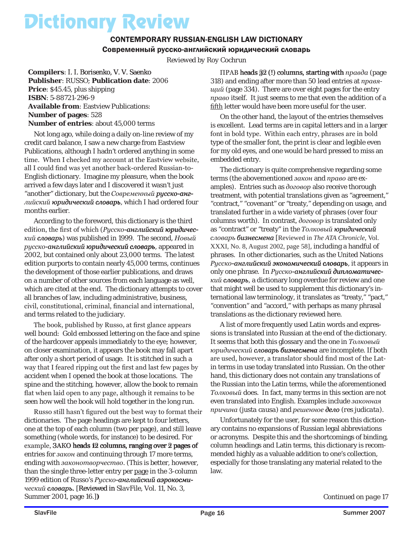# Dictionary Review

### CONTEMPORARY RUSSIAN-ENGLISH LAW DICTIONARY Современный русско-английский юридический словарь

*Reviewed by Roy Cochrun*

**Compilers**: I. I. Borisenko, V. V. Saenko **Publisher**: RUSSO; **Publication date**: 2006 **Price**: \$45.45, plus shipping **ISBN**: 5-88721-296-9 **Available from**: Eastview Publications: **Number of pages**: 528 **Number of entries**: about 45,000 terms

Not long ago, while doing a daily on-line review of my credit card balance, I saw a new charge from Eastview Publications, although I hadn't ordered anything in some time. When I checked my account at the Eastview website, all I could find was yet another back-ordered Russian-to-English dictionary. Imagine my pleasure, when the book arrived a few days later and I discovered it wasn't just "another" dictionary, but the *Современный* рисско-английский **юридический словарь**, which I had ordered four months earlier.

According to the foreword, this dictionary is the third edition, the first of which (*Русско-английский юридический�* ) was published in 1999. The second, *Новый�* русско-английский юридический словарь, appeared in 2002, but contained only about 23,000 terms. The latest edition purports to contain nearly 45,000 terms, continues the development of those earlier publications, and draws on a number of other sources from each language as well, which are cited at the end. The dictionary attempts to cover all branches of law, including administrative, business, civil, constitutional, criminal, financial and international, and terms related to the judiciary.

The book, published by Russo, at first glance appears well bound: Gold embossed lettering on the face and spine of the hardcover appeals immediately to the eye; however, on closer examination, it appears the book may fall apart after only a short period of usage. It is stitched in such a way that I feared ripping out the first and last few pages by accident when I opened the book at those locations. The spine and the stitching, however, allow the book to remain flat when laid open to any page, although it remains to be seen how well the book will hold together in the long run.

Russo still hasn't figured out the best way to format their dictionaries. The page headings are kept to four letters, one at the top of each column (two per page), and still leave something (whole words, for instance) to be desired. For example, 3AKO heads 12 columns, ranging over 2 pages of entries for *закон* and continuing through 17 more terms, ending with *законотворчество*. (This is better, however, than the single three-letter entry per page in the 3-column 1999 edition of Russo's Русско-английский аэрокосми*ческий словарь.* [Reviewed in *SlavFile*, Vol. 11, No. 3, Summer 2001, page 16.]**)**

ПРАВ heads 32 (!) columns, starting with *правда* (page 318) and ending after more than 50 lead entries at *правящий* (page 334). There are over eight pages for the entry *право* itself. It just seems to me that even the addition of a fifth letter would have been more useful for the user.

On the other hand, the layout of the entries themselves is excellent. Lead terms are in capital letters and in a larger font in bold type. Within each entry, phrases are in bold type of the smaller font, the print is clear and legible even for my old eyes, and one would be hard pressed to miss an embedded entry.

The dictionary is quite comprehensive regarding some terms (the abovementioned *закон* and *право* are examples). Entries such as *договор* also receive thorough treatment, with potential translations given as "agreement," "contract," "covenant" or "treaty," depending on usage, and translated further in a wide variety of phrases (over four columns worth). In contrast, *договор* is translated only as "contract" or "treaty" in the *Толковый юридический словарь �би�знес�мена* [Reviewed in *The ATA Chronicle*, Vol. XXXI, No. 8, August 2002, page 58], including a handful of phrases. In other dictionaries, such as the United Nations Русско-английский экономический словарь, it appears in only one phrase. In Русско-английский дипломатичес*кий�* , a dictionary long overdue for review and one that might well be used to supplement this dictionary's international law terminology, it translates as "treaty," "pact," "convention" and "accord," with perhaps as many phrasal translations as the dictionary reviewed here.

A list of more frequently used Latin words and expressions is translated into Russian at the end of the dictionary. It seems that both this glossary and the one in *Толковый�*  $p$ юридический словарь бизнесмена are incomplete. If both are used, however, a translator should find most of the Latin terms in use today translated into Russian. On the other hand, this dictionary does not contain any translations of the Russian into the Latin terms, while the aforementioned *Толковый* does. In fact, many terms in this section are not even translated into English. Examples include *законная� причина* (*justa causa*) and *решенное �* (*res judicata*).

Unfortunately for the user, for some reason this dictionary contains no expansions of Russian legal abbreviations or acronyms. Despite this and the shortcomings of binding, column headings and Latin terms, this dictionary is recommended highly as a valuable addition to one's collection, especially for those translating any material related to the law.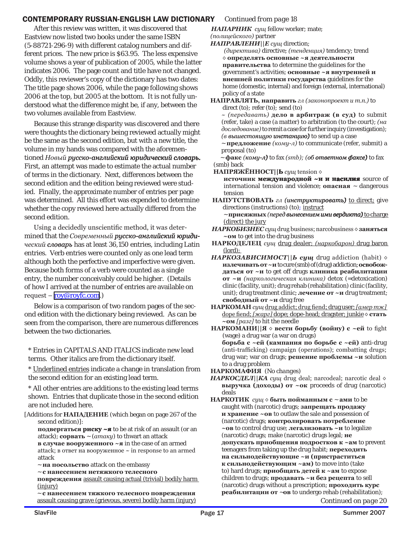### CONTEMPORARY RUSSIAN-ENGLISH LAW DICTIONARY *Continued from page 18*

After this review was written, it was discovered that Eastview now listed two books under the same ISBN (5-88721-296-9) with different catalog numbers and different prices. The new price is \$63.95. The less expensive volume shows a year of publication of 2005, while the latter indicates 2006. The page count and title have not changed. Oddly, this reviewer's copy of the dictionary has two dates: The title page shows 2006, while the page following shows 2006 at the top, but 2005 at the bottom. It is not fully understood what the difference might be, if any, between the two volumes available from Eastview.

Because this strange disparity was discovered and there were thoughts the dictionary being reviewed actually might be the same as the second edition, but with a new title, the volume in my hands was compared with the aforemen $t$ ioned *Новый русско-английский юридический словарь*. First, an attempt was made to estimate the actual number of terms in the dictionary. Next, differences between the second edition and the edition being reviewed were studied. Finally, the approximate number of entries per page was determined. All this effort was expended to determine whether the copy reviewed here actually differed from the second edition.

Using a decidedly unscientific method, it was determined that the *Современный* русско-английский **юриди***ческий словарь* has at least 36,150 entries, including Latin entries. Verb entries were counted only as one lead term although both the perfective and imperfective were given. Because both forms of a verb were counted as a single entry, the number conceivably could be higher. (Details of how I arrived at the number of entries are available on request – <u>[roy@royfc.com](mailto:roy@royfc.com)</u>.)

Below is a comparison of two random pages of the second edition with the dictionary being reviewed. As can be seen from the comparison, there are numerous differences between the two dictionaries.

\* Entries in *CAPITALS AND ITALICS* indicate new lead terms. Other italics are from the dictionary itself.

\* Underlined entries indicate a change in translation from the second edition for an existing lead term.

\* All other entries are additions to the existing lead terms shown. Entries that duplicate those in the second edition are not included here.

[Additions for **НАПАДЕНИЕ** (which began on page 267 of the second edition)]:

**подвергаться ри��ску �** to be at risk of an assault (or an attack); **сорвать** ~ (*атаку*) to thwart an attack **в случаe вооруженного ~я** in the case of an armed attack; в ответ на вооруженное  $\sim$  in response to an armed attack

~ **на посольство** attack on the embassy

~ **с нанесением нетяжкого телесного** 

**повреждения** assault causing actual (trivial) bodily harm (injury)

~ **с нанесением тяжкого телесного повреждения** assault causing grave (grievous, severe) bodily harm (injury) *НАПАРНИК**сущ* fellow worker; mate; *(полицейского)* partner

- *НАПРАВЛЕНИ||Е сущ* direction;
	- *(директива)* directive; *(тенденция)* tendency; trend ◊ **определять основные ~я деятельности правительства** to determine the guidelines for the government's activities; **основные ~я внутренней и внешней политики государства** guidelines for the home (domestic, internal) and foreign (external, international) policy of a state

**HАПРАВЛЯТЬ, направить** *гл (законопроект и т.п.)* to direct *(to);* refer *(to);* send *(to)*

*~ (передавать)* **дело в арбитраж (в суд)** to submit (refer, take) a case (a matter) to arbitration (to the court); *(на доследование)* to remit a case for further inquiry (investigation); *(в вышес�тоящ�ую инс�тан�ци�ю)* to send up a case

~ **предложение** *(кому-л)* to communicate (refer, submit) a proposal *(to)*

 ~ **факс** *( ��� му-л)* to fax *(smb); (обо�тве�тном �аксе)* to fax *(smb)* back

**НАПРЯЖЁННОСТ||Ь** сущ tension ◇

**источник международной ~и и насилия** source of international tension and violence; **опасная** ~ dangerous tension

НАПУТСТВОВАТЬ *гл* (инструктировать) to direct; give directions (instructions) *(to);* instruct

 $\sim$  присяжных (перед вынесением ими вердикта) to charge (direct) the jury

*НАРКОБИЗНЕС сущ* drug business; narcobusiness ◊ **заняться ~ом** to get into the drug business

**НАРКОДЕЛЕЦ** *сущ* drug dealer; *(наркобарон)* drug baron (lord);

- *НАРКОЗАВИСИМОСТ||Ь сущ* drug addiction (habit) ◊ **излечивать от ~и** to cure *(smb)* of (drug) addiction; **освобождаться от ~и** to get off drugs **клиника реабилитации от ~и** *(наркологическая клиника)* detox (=detoxication) clinic (facility, unit); drug rehab (rehabilitation) clinic (facility, unit); drug treatment clinic; **лечение от ~и** drug treatment; **свободный от ~и** drug free
- **НАРКОМАН** *сущ* drug addict; drug fiend; drug user; *[амер тж]*  dope fiend; *[жарг]* dope; dope-head; dragster; junkie ◊ **стать ~ом** *[разг]* to hit the needle
- **НАРКОМАНИ||Я** ◊ **вести борьбу (войну) с ~ей** to fight (wage) a drug war (a war on drugs) **борьба с ~ей (кампания по борьбе с ~ей)** anti-drug (anti-trafficking) campaign (operations); combatting drugs; drug war; war on drugs; **решение проблемы ~и** solution to a drug problem

**НАРКОМАФИЯ** *(No changes)*

- *НАРКОСДЕЛ||КА сущ* drug deal; narcodeal; narcotic deal ◊ **выручка (доходы) от ~ок** proceeds of drug (narcotic) deals
- **НАРКОТИК** *сущ* ◊ **быть пойманным с** ~ **ами** to be caught with (narcotic) drugs; **запрещать продажу и хранение ~ов** to outlaw the sale and possession of (narcotic) drugs; **контролировать потребление ~ов** to control drug use; **легализовать ~и** to legalize (narcotic) drugs; make (narcotic) drugs legal; **не допускать приобщения подростков к ~ам** to prevent teenagers from taking up the drug habit; **переходить на сильнодействующие ~и (пристраститься к сильнодействующим ~ам)** to move into (take to) hard drugs; **приобщать детей к ~ам** to expose children to drugs; **продавать ~и без рецепта** to sell (narcotic) drugs without a prescription; **проходить курс реабилитации от** ~**ов** to undergo rehab (rehabilitation);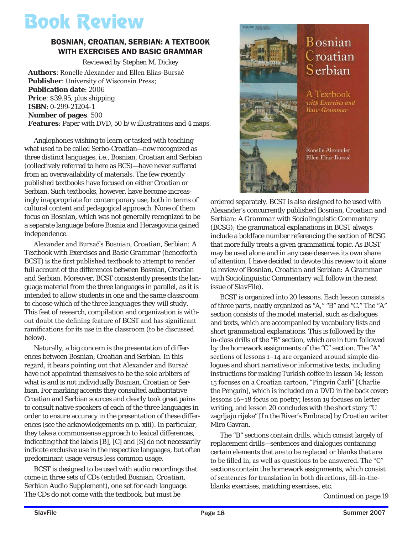# Book Review

### BOSNIAN, CROATIAN, SERBIAN: A TEXTBOOK WITH EXERCISES AND BASIC GRAMMAR

*Reviewed by Stephen M. Dickey* **Authors**: Ronelle Alexander and Ellen Elias-Bursać **Publisher**: University of Wisconsin Press; **Publication date**: 2006 **Price**: \$39.95, plus shipping **ISBN**: 0-299-21204-1 **Number of pages**: 500 **Features**: Paper with DVD, 50 b/w illustrations and 4 maps.

Anglophones wishing to learn or tasked with teaching what used to be called Serbo-Croatian—now recognized as three distinct languages, i.e., Bosnian, Croatian and Serbian (collectively referred to here as BCS)—have never suffered from an overavailability of materials. The few recently published textbooks have focused on either Croatian or Serbian. Such textbooks, however, have become increasingly inappropriate for contemporary use, both in terms of cultural content and pedagogical approach. None of them focus on Bosnian, which was not generally recognized to be a separate language before Bosnia and Herzegovina gained independence.

Alexander and Bursać's *Bosnian, Croatian, Serbian: A Textbook with Exercises and Basic Grammar* (henceforth *BCST*) is the first published textbook to attempt to render full account of the differences between Bosnian, Croatian and Serbian. Moreover, *BCST* consistently presents the language material from the three languages in parallel, *as it is intended to allow students in one and the same classroom to choose which of the three languages they will study*. This feat of research, compilation and organization is without doubt the defining feature of *BCST* and has significant ramifications for its use in the classroom (to be discussed below).

Naturally, a big concern is the presentation of differences between Bosnian, Croatian and Serbian. In this regard, it bears pointing out that Alexander and Bursać have not appointed themselves to be the sole arbiters of what is and is not individually Bosnian, Croatian or Serbian. For marking accents they consulted authoritative Croatian and Serbian sources and clearly took great pains to consult native speakers of each of the three languages in order to ensure accuracy in the presentation of these differences (see the acknowledgements on p. xiii). In particular, they take a commonsense approach to lexical differences, indicating that the labels [B], [C] and [S] do not necessarily indicate exclusive use in the respective languages, but often predominant usage versus less common usage.

*BCST* is designed to be used with audio recordings that come in three sets of CDs (entitled *Bosnian, Croatian, Serbian Audio Supplement*), one set for each language. The CDs do *not* come with the textbook, but must be



ordered separately. *BCST* is also designed to be used with Alexander's concurrently published *Bosnian, Croatian and Serbian: A Grammar with Sociolinguistic Commentary* (*BCSG*); the grammatical explanations in *BCST* always include a boldface number referencing the section of *BCSG* that more fully treats a given grammatical topic. As *BCST* may be used alone and in any case deserves its own share of attention, I have decided to devote this review to it alone (a review of *Bosnian, Croatian and Serbian: A Grammar with Sociolinguistic Commentary* will follow in the next issue of *SlavFile*).

*BCST* is organized into 20 lessons. Each lesson consists of three parts, neatly organized as "A," "B" and "C." The "A" section consists of the model material, such as dialogues and texts, which are accompanied by vocabulary lists and short grammatical explanations. This is followed by the in-class drills of the "B" section, which are in turn followed by the homework assignments of the "C" section. The "A" sections of lessons 1–14 are organized around simple dialogues and short narrative or informative texts, including instructions for making Turkish coffee in lesson 14; lesson 15 focuses on a Croatian cartoon, "Pingvin Čarli" [Charlie the Penguin], which is included on a DVD in the back cover; lessons 16–18 focus on poetry; lesson 19 focuses on letter writing, and lesson 20 concludes with the short story "U zagrljaju rijeke" [In the River's Embrace] by Croatian writer Miro Gavran.

The "B" sections contain drills, which consist largely of replacement drills—sentences and dialogues containing certain elements that are to be replaced or blanks that are to be filled in, as well as questions to be answered. The "C" sections contain the homework assignments, which consist of sentences for translation in both directions, fill-in-theblanks exercises, matching exercises, etc.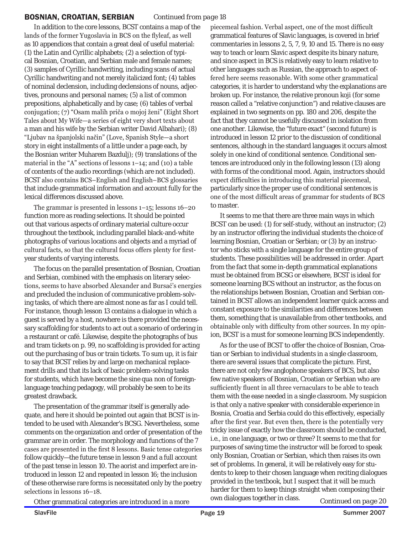#### BOSNIAN, CROATIAN, SERBIAN

*Continued from page 18*

In addition to the core lessons, *BCST* contains a map of the lands of the former Yugoslavia in BCS on the flyleaf, as well as 10 appendices that contain a great deal of useful material: (1) the Latin and Cyrillic alphabets; (2) a selection of typical Bosnian, Croatian, and Serbian male and female names; (3) samples of Cyrillic handwriting, including scans of actual Cyrillic handwriting and not merely italicized font; (4) tables of nominal declension, including declensions of nouns, adjectives, pronouns and personal names; (5) a list of common prepositions, alphabetically and by case; (6) tables of verbal conjugation; (7) "Osam malih priča o mojoj ženi" (Eight Short Tales about My Wife—a series of eight very short texts about a man and his wife by the Serbian writer David Albahari); (8) "Ljubav na španjolski način" (Love, Spanish Style—a short story in eight installments of a little under a page each, by the Bosnian writer Muharem Bazdulj); (9) translations of the material in the "A" sections of lessons 1–14; and (10) a table of contents of the audio recordings (which are not included). *BCST* also contains BCS–English and English–BCS glossaries that include grammatical information and account fully for the lexical differences discussed above.

The grammar is presented in lessons 1–15; lessons 16–20 function more as reading selections. It should be pointed out that various aspects of ordinary material culture occur throughout the textbook, including parallel black-and-white photographs of various locations and objects and a myriad of cultural facts, so that the cultural focus offers plenty for firstyear students of varying interests.

The focus on the parallel presentation of Bosnian, Croatian and Serbian, combined with the emphasis on literary selections, seems to have absorbed Alexander and Bursać's energies and precluded the inclusion of communicative problem-solving tasks, of which there are almost none as far as I could tell. For instance, though lesson 13 contains a dialogue in which a guest is served by a host, nowhere is there provided the necessary scaffolding for students to act out a scenario of ordering in a restaurant or café. Likewise, despite the photographs of bus and tram tickets on p. 99, no scaffolding is provided for acting out the purchasing of bus or train tickets. To sum up, it is fair to say that *BCST* relies by and large on mechanical replacement drills and that its lack of basic problem-solving tasks for students, which have become the *sine qua non* of foreignlanguage teaching pedagogy, will probably be seen to be its greatest drawback.

The presentation of the grammar itself is generally adequate, and here it should be pointed out again that *BCST* is intended to be used with Alexander's *BCSG*. Nevertheless, some comments on the organization and order of presentation of the grammar are in order. The morphology and functions of the 7 cases are presented in the first 8 lessons. Basic tense categories follow quickly—the future tense in lesson 9 and a full account of the past tense in lesson 10. The aorist and imperfect are introduced in lesson 12 and repeated in lesson 16; the inclusion of these otherwise rare forms is necessitated only by the poetry selections in lessons 16–18.

piecemeal fashion. Verbal aspect, one of the most difficult grammatical features of Slavic languages, is covered in brief commentaries in lessons 2, 5, 7, 9, 10 and 15. There is no easy way to teach or learn Slavic aspect despite its binary nature, and since aspect in BCS is relatively easy to learn relative to other languages such as Russian, the approach to aspect offered here seems reasonable. With some other grammatical categories, it is harder to understand why the explanations are broken up. For instance, the relative pronoun *koji* (for some reason called a "relative conjunction") and relative clauses are explained in two segments on pp. 180 and 206, despite the fact that they cannot be usefully discussed in isolation from one another. Likewise, the "future exact" (second future) is introduced in lesson 12 prior to the discussion of conditional sentences, although in the standard languages it occurs almost solely in one kind of conditional sentence. Conditional sentences are introduced only in the following lesson (13) along with forms of the conditional mood. Again, instructors should expect difficulties in introducing this material piecemeal, particularly since the proper use of conditional sentences is one of the most difficult areas of grammar for students of BCS to master.

It seems to me that there are three main ways in which *BCST* can be used: (1) for self-study, without an instructor; (2) by an instructor offering the individual students the choice of learning Bosnian, Croatian or Serbian; or (3) by an instructor who sticks with a single language for the entire group of students. These possibilities will be addressed in order. Apart from the fact that some in-depth grammatical explanations must be obtained from *BCSG* or elsewhere, *BCST* is ideal for someone learning BCS without an instructor, as the focus on the relationships between Bosnian, Croatian and Serbian contained in *BCST* allows an independent learner quick access and constant exposure to the similarities and differences between them, something that is unavailable from other textbooks, and obtainable only with difficulty from other sources. In my opinion, *BCST* is a must for someone learning BCS independently.

As for the use of *BCST* to offer the choice of Bosnian, Croatian or Serbian to individual students in a single classroom, there are several issues that complicate the picture. First, there are not only few anglophone speakers of BCS, but also few native speakers of Bosnian, Croatian or Serbian who are sufficiently fluent in all three vernaculars to be able to teach them with the ease needed in a single classroom. My suspicion is that only a native speaker with considerable experience in Bosnia, Croatia and Serbia could do this effectively, especially after the first year. But even then, there is the potentially very tricky issue of exactly how the classroom should be conducted, i.e., in one language, or two or three? It seems to me that for purposes of saving time the instructor will be forced to speak only Bosnian, Croatian or Serbian, which then raises its own set of problems. In general, it will be relatively easy for students to keep to their chosen language when reciting dialogues provided in the textbook, but I suspect that it will be much harder for them to keep things straight when composing their own dialogues together in class.

Other grammatical categories are introduced in a more